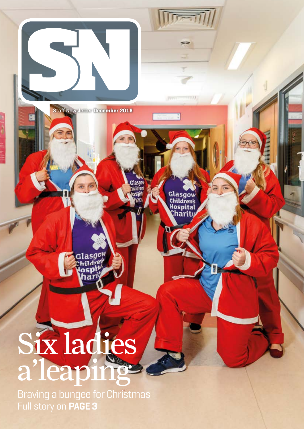

Full story on **PAGE 3**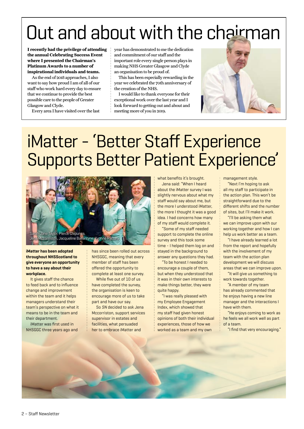## Out and about with the chairman

**I recently had the privilege of attending the annual Celebrating Success Event where I presented the Chairman's Platinum Awards to a number of inspirational individuals and teams.**

As the end of 2018 approaches, I also want to say how proud I am of all of our staff who work hard every day to ensure that we continue to provide the best possible care to the people of Greater Glasgow and Clyde.

Every area I have visited over the last

year has demonstrated to me the dedication and commitment of our staff and the important role every single person plays in making NHS Greater Glasgow and Clyde an organisation to be proud of.

This has been especially rewarding in the year we celebrated the 70th anniversary of the creation of the NHS.

I would like to thank everyone for their exceptional work over the last year and I look forward to getting out and about and meeting more of you in 2019.



## iMatter - 'Better Staff Experience Supports Better Patient Experience'



**iMatter has been adopted throughout NHSScotland to give everyone an opportunity to have a say about their workplace.**

It gives staff the chance to feed back and to influence change and improvement within the team and it helps managers understand their team's perspective on what it means to be in the team and their department.

iMatter was first used in NHSGGC three years ago and

has since been rolled out across NHSGGC, meaning that every member of staff has been offered the opportunity to complete at least one survey.

While five out of 10 of us have completed the survey, the organisation is keen to encourage more of us to take part and have our say.

So *SN* decided to ask Jena Mccorriston, support services supervisor in estates and facilities, what persuaded her to embrace iMatter and

what benefits it's brought.

Jena said: "When I heard about the iMatter survey I was slightly nervous about what my staff would say about me, but the more I understood iMatter, the more I thought it was a good idea. I had concerns how many of my staff would complete it.

"Some of my staff needed support to complete the online survey and this took some time - I helped them log on and stayed in the background to answer any questions they had.

"To be honest I needed to encourage a couple of them, but when they understood that it was in their own interests to make things better, they were quite happy.

"I was really pleased with my Employee Engagement Index, which showed that my staff had given honest opinions of both their individual experiences, those of how we worked as a team and my own

management style.

"Next I'm hoping to ask all my staff to participate in the action plan. This won't be straightforward due to the different shifts and the number of sites, but I'll make it work.

"I'll be asking them what we can improve upon with our working together and how I can help us work better as a team.

"I have already learned a lot from the report and hopefully with the involvement of my team with the action plan development we will discuss areas that we can improve upon.

"It will give us something to work towards together. "A member of my team

has already commented that he enjoys having a new line manager and the interactions I have with them.

"He enjoys coming to work as he feels we all work well as part of a team.

"I find that very encouraging."

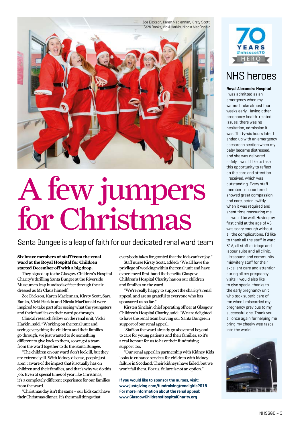

# A few jumpers for Christmas

#### Santa Bungee is a leap of faith for our dedicated renal ward team

#### **Six brave members of staff from the renal ward at the Royal Hospital for Children started December off with a big drop.**

They signed up to the Glasgow Children's Hospital Charity's thrilling Santa Bungee at the Riverside Museum to leap hundreds of feet through the air dressed as Mr Claus himself.

Zoe Dickson, Karen Maclennan, Kirsty Scott, Sara Banks, Vicki Harkin and Nicola MacDonald were inspired to take part after seeing what the youngsters and their families on their ward go through.

Clinical research fellow on the renal unit, Vicki Harkin, said: "Working on the renal unit and seeing everything the children and their families go through, we just wanted to do something different to give back to them, so we got a team from the ward together to do the Santa Bungee.

"The children on our ward don't look ill, but they are extremely ill. With kidney disease, people just aren't aware of the impact that it actually has on children and their families, and that's why we do this job. Even at special times of year like Christmas, it's a completely different experience for our families from the ward.

"Christmas day isn't the same – our kids can't have their Christmas dinner. It's the small things that

everybody takes for granted that the kids can't enjoy."

Staff nurse Kirsty Scott, added: "We all have the privilege of working within the renal unit and have experienced first-hand the benefits Glasgow Children's Hospital Charity has on our children and families on the ward.

"We're really happy to support the charity's renal appeal, and are so grateful to everyone who has sponsored us so far."

Kirsten Sinclair, chief operating officer at Glasgow Children's Hospital Charity, said: "We are delighted to have the renal team braving our Santa Bungee in support of our renal appeal.

"Staff on the ward already go above and beyond to care for young patients and their families, so it's a real honour for us to have their fundraising support too.

"Our renal appeal in partnership with Kidney Kids looks to enhance services for children with kidney failure in Scotland. Their kidneys have failed, but we won't fail them. For us, failure is not an option."

**If you would like to sponsor the nurses, visit: www.justgiving.com/fundraising/renalgirls2018 For more information about the renal appeal: www.GlasgowChildrensHospitalCharity.org** 



## NHS heroes

**Royal Alexandra Hospital**  I was admitted as an emergency when my waters broke almost four weeks early. Having other pregnancy health-related issues, there was no hesitation, admission it was. Thirty-six hours later I ended up with an emergency caesarean section when my baby became distressed, and she was delivered safely. I would like to take this opportunity to reflect on the care and attention I received, which was outstanding. Every staff member I encountered showed great compassion and care, acted swiftly when it was required and spent time reassuring me all would be well. Having my first child at the age of 43 was scary enough without all the complications. I'd like to thank all the staff in ward 31A, all staff at triage and labour suite and all clinic, ultrasound and community midwifery staff for their excellent care and attention during all my pregnancy visits. I would also like to give special thanks to the early pregnancy unit who took superb care of me when I miscarried my pregnancy previous to my successful one. Thank you all once again for helping me bring my cheeky wee rascal into the world.

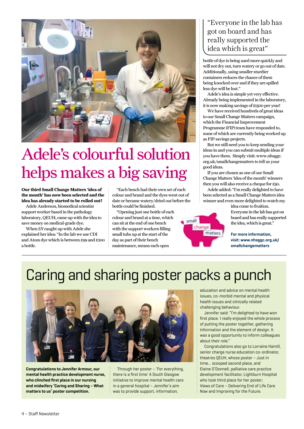

## Adele's colourful solution helps makes a big saving

**Our third Small Change Matters 'idea of the month' has now been selected and the idea has already started to be rolled out!**

Adele Anderson, biomedical scientist support worker based in the pathology laboratory, QEUH, came up with the idea to save money on medical-grade dye.

When *SN* caught up with Adele she explained her idea: "In the lab we use CDI and Atom dye which is between £99 and £200 a bottle.

"Each bench had their own set of each colour and brand and the dyes went out of date or became watery/dried out before the bottle could be finished.

"Opening just one bottle of each colour and brand at a time, which can sit at the end of one bench with the support workers filling small tubs up at the start of the day as part of their bench maintenance, means each open

#### "Everyone in the lab has got on board and has really supported the idea which is great"

bottle of dye is being used more quickly and will not dry out, turn watery or go out of date. Additionally, using smaller sturdier containers reduces the chance of them being knocked over and if they are spilled less dye will be lost."

Adele's idea is simple yet very effective. Already being implemented in the laboratory, it is now making savings of £1500 per year!

We have received hundreds of great ideas to our Small Change Matters campaign, which the Financial Improvement Programme (FIP) team have responded to, some of which are currently being worked up as FIP savings projects.

But we still need you to keep sending your ideas in and you can submit multiple ideas if you have them. Simply visit: www.nhsggc. org.uk/smallchangematters to tell us your good ideas.

If you are chosen as one of our Small Change Matters 'idea of the month' winners then you will also receive a cheque for £50.

Adele added: "I'm really delighted to have been selected as a Small Change Matters idea winner and even more delighted to watch my



idea come to fruition. Everyone in the lab has got on board and has really supported the idea, which is great."

**For more information, visit: www.nhsggc.org.uk/ smallchangematters**

## Caring and sharing poster packs a punch



**Congratulations to Jennifer Armour, our mental health practice development nurse, who clinched first place in our nursing and midwifery 'Caring and Sharing – What matters to us' poster competition.**

Through her poster – 'For everything, there is a first time' A South Glasgow initiative to improve mental health care in a general hospital – Jennifer's aim was to provide support, information,

education and advice on mental health issues, co-morbid mental and physical health issues and clinically related challenging behaviour.

Jennifer said: "I'm delighted to have won first place. I really enjoyed the whole process of putting the poster together, gathering information and the element of design. It was a good opportunity to inform colleagues about their role."

Congratulations also go to Lorraine Hamill, senior charge nurse education co-ordinator, theatres QEUH, whose poster – Just in time... scooped second place, and Elaine O'Donnell, palliative care practice development facilitator, Lightburn Hospital who took third place for her poster; Views of Care – Delivering End of Life Care Now and Improving for the Future.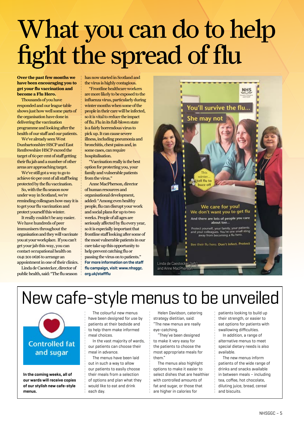# What you can do to help fight the spread of flu

**Over the past few months we have been encouraging you to get your flu vaccination and become a Flu Hero.** 

Thousands of you have responded and our league table shows just how well some parts of the organisation have done in delivering the vaccination programme and looking after the health of our staff and our patients.

We've already seen West Dunbartonshire HSCP and East Renfrewshire HSCP exceed the target of 60 per cent of staff getting their flu jab and a number of other areas are approaching target.

We've still got a way to go to achieve 60 per cent of all staff being protected by the flu vaccination.

So, with the flu season now under way in Scotland, we're reminding colleagues how easy it is to get your flu vaccination and protect yourself this winter.

It really couldn't be any easier. We have hundreds of peer immunisers throughout the organisation and they will vaccinate you at your workplace. If you can't get your jab this way, you can contact occupational health on 0141 201 0626 to arrange an appointment in one of their clinics.

Linda de Caestecker, director of public health, said: "The flu season has now started in Scotland and the virus is highly contagious.

"Frontline healthcare workers are more likely to be exposed to the influenza virus, particularly during winter months when some of the people in their care will be infected, so it is vital to reduce the impact of flu. Flu in its full-blown state is a fairly horrendous virus to pick up. It can cause severe illness, including pneumonia and bronchitis, chest pains and, in some cases, can require hospitalisation.

"Vaccination really is the best option for protecting you, your family and vulnerable patients from the virus."

Anne MacPherson, director of human resources and organisational development, added: "Among even healthy people, flu can disrupt your work and social plans for up to two weeks. People of all ages are seriously affected by flu every year, so it is especially important that frontline staff looking after some of the most vulnerable patients in our care take up this opportunity to help prevent catching flu or passing the virus on to patients." **For more information on the staff flu campaign, visit: www.nhsggc. org.uk/staffflu**



## New cafe-style menus to be unveiled



**In the coming weeks, all of our wards will receive copies of our stylish new cafe-style menus.**

The colourful new menus have been designed for use by patients at their bedside and to help them make informed meal choices.

In the vast majority of wards, our patients can choose their meal in advance.

The menus have been laid out in such a way to allow our patients to easily choose their meals from a selection of options and plan what they would like to eat and drink each day.

Helen Davidson, catering strategy dietitian, said: "The new menus are really eye-catching.

"They've been designed to make it very easy for the patients to choose the most appropriate meals for them."

The menus also highlight options to make it easier to select dishes that are healthier with controlled amounts of fat and sugar, or those that are higher in calories for

patients looking to build up their strength, or easier to eat options for patients with swallowing difficulties.

In addition, a range of alternative menus to meet special dietary needs is also available.

The new menus inform patients of the wide range of drinks and snacks available in between meals – including tea, coffee, hot chocolate, diluting juice, bread, cereal and biscuits.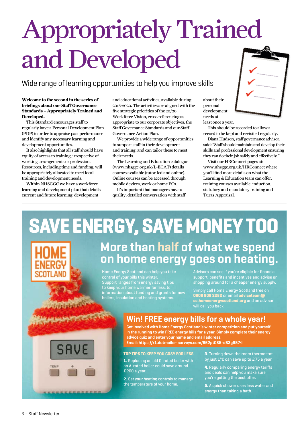# Appropriately Trained and Developed

## Wide range of learning opportunities to help you improve skills

#### **Welcome to the second in the series of briefings about our Staff Governance Standards – Appropriately Trained and Developed.**

This Standard encourages staff to regularly have a Personal Development Plan (PDP) in order to appraise past performance and identify any necessary learning and development opportunities.

It also highlights that all staff should have equity of access to training, irrespective of working arrangements or profession. Resources, including time and funding, will be appropriately allocated to meet local training and development needs.

Within NHSGGC we have a workforce learning and development plan that details current and future learning, development

and educational activities, available during 2018-2020. The activities are aligned with the five strategic priorities of the 20/20 Workforce Vision, cross referencing as appropriate to our corporate objectives, the Staff Governance Standards and our Staff Governance Action Plan.

We provide a wide range of opportunities to support staff in their development and training, and can tailor these to meet their needs.

The Learning and Education catalogue (www.nhsggc.org.uk/L-ECAT) details courses available (tutor-led and online). Online courses can be accessed through mobile devices, work or home PCs.

It's important that managers have a quality, detailed conversation with staff about their personal development needs at least once a year.

This should be recorded to allow a record to be kept and revisited regularly.

Diana Hudson, staff governance advisor, said: "Staff should maintain and develop their skills and professional development ensuring they can do their job safely and effectively."

Visit our HRConnect pages at: www.nhsggc.org.uk/HRConnect where you'll find more details on what the Learning & Education team can offer, training courses available, induction, statutory and mandatory training and Turas Appraisal.

# SAVE ENERGY, SAVE MONEY TOO

## **More than half of what we spend on home energy goes on heating.**

Home Energy Scotland can help you take control of your bills this winter. Support ranges from energy saving tips to keep your home warmer for less, to information about funding and grants for new boilers, insulation and heating systems.

Advisors can see if you're eligible for financial support, benefits and incentives and advise on shopping around for a cheaper energy supply.

Simply call Home Energy Scotland free on **0808 808 2282** or email **adviceteam@ sc.homeenergyscotland.org** and an advisor will call you back.

# -----------------

## **Win! FREE energy bills for a whole year!**

**Get involved with Home Energy Scotland's winter competition and put yourself in the running to win FREE energy bills for a year. Simply complete their energy advice quiz and enter your name and email address. Email: https://r1.dotmailer-surveys.com/662pt085-d83g8574**

**TOP TIPS TO KEEP YOU COSY FOR LESS** 

**1.** Replacing an old G-rated boiler with an A-rated boiler could save around £200 a year.

**2.** Set your heating controls to manage the temperature of your home.

**3.** Turning down the room thermostat by just 1°C can save up to £75 a year.

**4.** Regularly comparing energy tariffs and deals can help you make sure you're getting the best offer.

**5.** A quick shower uses less water and energy than taking a bath.

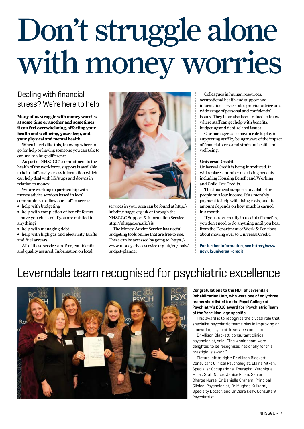# Don't struggle alone with money worries

## Dealing with financial stress? We're here to help

**Many of us struggle with money worries at some time or another and sometimes it can feel overwhelming, affecting your health and wellbeing, your sleep, and your physical and mental health.**

When it feels like this, knowing where to go for help or having someone you can talk to can make a huge difference.

As part of NHSGGC's commitment to the health of the workforce, support is available to help staff easily access information which can help deal with life's ups and downs in relation to money.

We are working in partnership with money advice services based in local communities to allow our staff to access:

- **∫** help with budgeting
- **∫** help with completion of benefit forms
- have you checked if you are entitled to anything?
- **∫** help with managing debt

**∫** help with high gas and electricity tariffs and fuel arrears.

All of these services are free, confidential and quality assured. Information on local



services in your area can be found at [http://](http://infodir.nhsggc.org.uk/) [infodir.nhsggc.org.uk](http://infodir.nhsggc.org.uk/) or through the NHSGGC Support & Information Service <http://nhsggc.org.uk/sis>

The Money Advice Service has useful budgeting tools online that are free to use. These can be accessed by going to: [https://](https://www.moneyadviceservice.org.uk/en/tools/budget-planner) [www.moneyadviceservice.org.uk/en/tools/](https://www.moneyadviceservice.org.uk/en/tools/budget-planner) [budget-planner](https://www.moneyadviceservice.org.uk/en/tools/budget-planner)

Colleagues in human resources, occupational health and support and information services also provide advice on a wide range of personal and confidential issues. They have also been trained to know where staff can get help with benefits, budgeting and debt-related issues.

Our managers also have a role to play in supporting staff by being aware of the impact of financial stress and strain on health and wellbeing.

#### **Universal Credit**

Universal Credit is being introduced. It will replace a number of existing benefits including Housing Benefit and Working and Child Tax Credits.

This financial support is available for people on a low income. It's a monthly payment to help with living costs, and the amount depends on how much is earned in a month.

If you are currently in receipt of benefits, you don't need to do anything until you hear from the Department of Work & Pensions about moving over to Universal Credit.

**For further information, see [https://www.](https://www.gov.uk/universal-credit) [gov.uk/universal-credit](https://www.gov.uk/universal-credit)** 

## Leverndale team recognised for psychiatric excellence



**Congratulations to the MDT of Leverndale Rehabilitation Unit, who were one of only three teams shortlisted for the Royal College of Psychiatry's 2018 award for 'Psychiatric Team of the Year: Non-age specific'.**

This award is to recognise the pivotal role that specialist psychiatric teams play in improving or innovating psychiatric services and care.

Dr Allison Blackett, consultant clinical psychologist, said: "The whole team were delighted to be recognised nationally for this prestigious award."

Picture left to right: Dr Allison Blackett, Consultant Clinical Psychologist, Elaine Aitken, Specialist Occupational Therapist, Veronique Millar, Staff Nurse, Janice Gillan, Senior Charge Nurse, Dr Danielle Graham, Principal Clinical Psychologist, Dr Mughda Kulkarni, Specialty Doctor, and Dr Ciara Kelly, Consultant Psychiatrist.